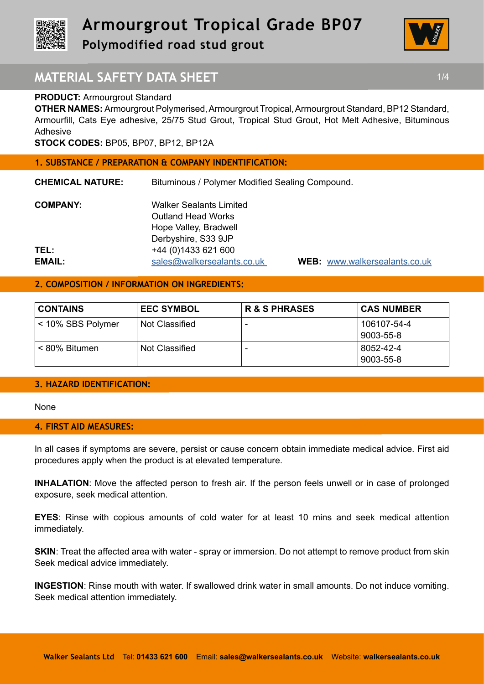



# **MATERIAL SAFETY DATA SHEET 1/4 1/4**

### **PRODUCT: Armourgrout Standard**

**OTHER NAMES:** Armourgrout Polymerised, Armourgrout Tropical, Armourgrout Standard, BP12 Standard, Armourfill, Cats Eye adhesive, 25/75 Stud Grout, Tropical Stud Grout, Hot Melt Adhesive, Bituminous Adhesive

**STOCK CODES:** BP05, BP07, BP12, BP12A

#### **1. SUBSTANCE / PREPARATION & COMPANY INDENTIFICATION:**

**CHEMICAL NATURE:** Bituminous / Polymer Modified Sealing Compound.

| <b>COMPANY:</b> | <b>Walker Sealants Limited</b> |
|-----------------|--------------------------------|
|                 | <b>Outland Head Works</b>      |
|                 | Hope Valley, Bradwell          |
|                 | Derbyshire, S33 9JP            |
| TEL:            | +44 (0) 1433 621 600           |
| <b>EMAIL:</b>   | sales@walkersealants.co.uk     |

**EMAIL:** sales@walkersealants.co.uk **WEB:** www.walkersealants.co.uk

# **2. COMPOSITION / INFORMATION ON INGREDIENTS:**

| <b>CONTAINS</b>   | <b>EEC SYMBOL</b> | <b>R &amp; S PHRASES</b> | <b>CAS NUMBER</b>        |
|-------------------|-------------------|--------------------------|--------------------------|
| < 10% SBS Polymer | Not Classified    | $\overline{\phantom{0}}$ | 106107-54-4<br>9003-55-8 |
| < 80% Bitumen     | Not Classified    | $\overline{\phantom{0}}$ | 8052-42-4<br>9003-55-8   |

### **3. HAZARD IDENTIFICATION:**

None

### **4. FIRST AID MEASURES:**

In all cases if symptoms are severe, persist or cause concern obtain immediate medical advice. First aid procedures apply when the product is at elevated temperature.

**INHALATION**: Move the affected person to fresh air. If the person feels unwell or in case of prolonged exposure, seek medical attention.

**EYES**: Rinse with copious amounts of cold water for at least 10 mins and seek medical attention immediately.

**SKIN:** Treat the affected area with water - spray or immersion. Do not attempt to remove product from skin Seek medical advice immediately.

**INGESTION**: Rinse mouth with water. If swallowed drink water in small amounts. Do not induce vomiting. Seek medical attention immediately.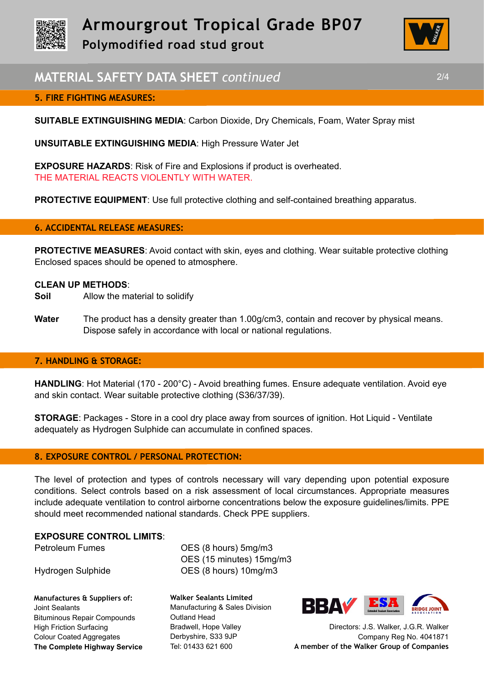



# **MATERIAL SAFETY DATA SHEET** *continued* 2/4

## **5. FIRE FIGHTING MEASURES:**

**SUITABLE EXTINGUISHING MEDIA**: Carbon Dioxide, Dry Chemicals, Foam, Water Spray mist

**UNSUITABLE EXTINGUISHING MEDIA**: High Pressure Water Jet

**EXPOSURE HAZARDS**: Risk of Fire and Explosions if product is overheated. THE MATERIAL REACTS VIOLENTLY WITH WATER.

**PROTECTIVE EQUIPMENT:** Use full protective clothing and self-contained breathing apparatus.

### **6. ACCIDENTAL RELEASE MEASURES:**

**PROTECTIVE MEASURES**: Avoid contact with skin, eyes and clothing. Wear suitable protective clothing Enclosed spaces should be opened to atmosphere.

### **CLEAN UP METHODS**:

- **Soil** Allow the material to solidify
- **Water** The product has a density greater than 1.00g/cm3, contain and recover by physical means. Dispose safely in accordance with local or national regulations.

### **7. HANDLING & STORAGE:**

**HANDLING**: Hot Material (170 - 200°C) - Avoid breathing fumes. Ensure adequate ventilation. Avoid eye and skin contact. Wear suitable protective clothing (S36/37/39).

**STORAGE**: Packages - Store in a cool dry place away from sources of ignition. Hot Liquid - Ventilate adequately as Hydrogen Sulphide can accumulate in confined spaces.

### **8. EXPOSURE CONTROL / PERSONAL PROTECTION:**

The level of protection and types of controls necessary will vary depending upon potential exposure conditions. Select controls based on a risk assessment of local circumstances. Appropriate measures include adequate ventilation to control airborne concentrations below the exposure guidelines/limits. PPE should meet recommended national standards. Check PPE suppliers.

### **EXPOSURE CONTROL LIMITS**:

**Manufactures & Suppliers of:**  Joint Sealants Bituminous Repair Compounds High Friction Surfacing Colour Coated Aggregates **The Complete Highway Service**

Petroleum Fumes **OES** (8 hours) 5mg/m3 OES (15 minutes) 15mg/m3 Hydrogen Sulphide OES (8 hours) 10mg/m3

> **Walker Sealants Limited**  Manufacturing & Sales Division Outland Head Bradwell, Hope Valley Derbyshire, S33 9JP Tel: 01433 621 600



Directors: J.S. Walker, J.G.R. Walker Company Reg No. 4041871 **A member of the Walker Group of Companies**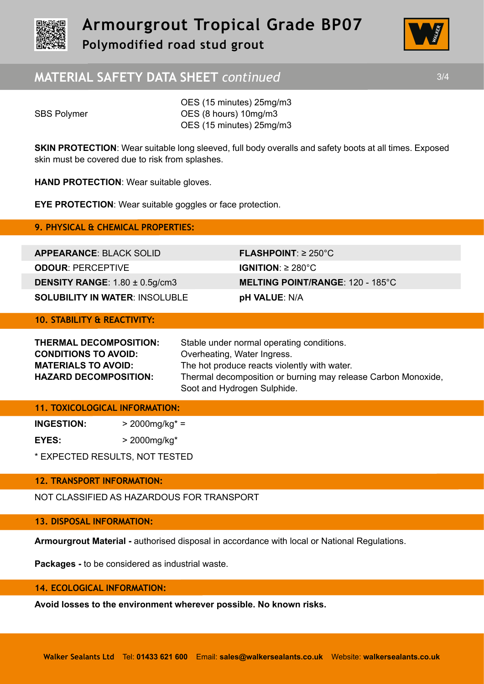



# **MATERIAL SAFETY DATA SHEET** *continued* 3/4

OES (15 minutes) 25mg/m3 SBS Polymer **OES** (8 hours) 10mg/m3 OES (15 minutes) 25mg/m3

**SKIN PROTECTION:** Wear suitable long sleeved, full body overalls and safety boots at all times. Exposed skin must be covered due to risk from splashes.

**HAND PROTECTION**: Wear suitable gloves.

**EYE PROTECTION**: Wear suitable goggles or face protection.

**9. PHYSICAL & CHEMICAL PROPERTIES:** 

**APPEARANCE**: BLACK SOLID **FLASHPOINT**: ≥ 250°C **ODOUR**: PERCEPTIVE **IGNITION**: ≥ 280°C **SOLUBILITY IN WATER**: INSOLUBLE **pH VALUE**: N/A

**DENSITY RANGE**: 1.80 ± 0.5g/cm3 **MELTING POINT/RANGE**: 120 - 185°C

# **10. STABILITY & REACTIVITY:**

| THERMAL DECOMPOSITION:       | Stable under normal operating conditions.                     |
|------------------------------|---------------------------------------------------------------|
| <b>CONDITIONS TO AVOID:</b>  | Overheating, Water Ingress.                                   |
| <b>MATERIALS TO AVOID:</b>   | The hot produce reacts violently with water.                  |
| <b>HAZARD DECOMPOSITION:</b> | Thermal decomposition or burning may release Carbon Monoxide, |
|                              | Soot and Hydrogen Sulphide.                                   |

## **11. TOXICOLOGICAL INFORMATION:**

**INGESTION:** > 2000mg/kg\* = **EYES:** > 2000mg/kg\*

\* EXPECTED RESULTS, NOT TESTED

## **12. TRANSPORT INFORMATION:**

NOT CLASSIFIED AS HAZARDOUS FOR TRANSPORT

## **13. DISPOSAL INFORMATION:**

**Armourgrout Material -** authorised disposal in accordance with local or National Regulations.

**Packages -** to be considered as industrial waste.

## **14. ECOLOGICAL INFORMATION:**

**Avoid losses to the environment wherever possible. No known risks.**